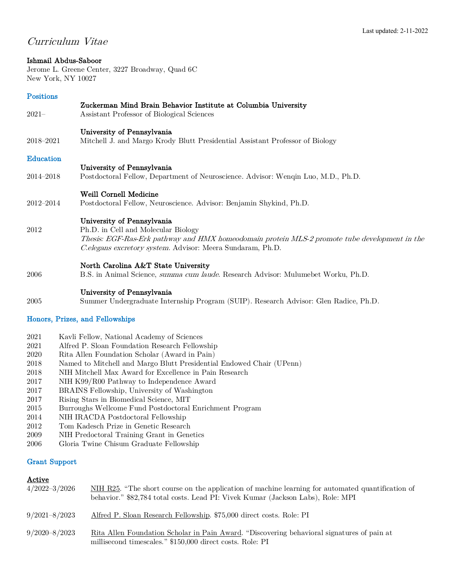# Curriculum Vitae

#### Ishmail Abdus-Saboor

Jerome L. Greene Center, 3227 Broadway, Quad 6C New York, NY 10027

#### Positions

2021– Assistant Professor of Biological Sciences

### University of Pennsylvania

2018–2021 Mitchell J. and Margo Krody Blutt Presidential Assistant Professor of Biology

#### Education

### University of Pennsylvania

2014–2018 Postdoctoral Fellow, Department of Neuroscience. Advisor: Wenqin Luo, M.D., Ph.D.

Zuckerman Mind Brain Behavior Institute at Columbia University

#### Weill Cornell Medicine

2012–2014 Postdoctoral Fellow, Neuroscience. Advisor: Benjamin Shykind, Ph.D.

### University of Pennsylvania

2012 Ph.D. in Cell and Molecular Biology Thesis: EGF-Ras-Erk pathway and HMX homeodomain protein MLS-2 promote tube development in the C.elegans excretory system. Advisor: Meera Sundaram, Ph.D.

### North Carolina A&T State University

2006 B.S. in Animal Science, *summa cum laude*. Research Advisor: Mulumebet Worku, Ph.D.

### University of Pennsylvania

2005 Summer Undergraduate Internship Program (SUIP). Research Advisor: Glen Radice, Ph.D.

### Honors, Prizes, and Fellowships

- 2021 Kavli Fellow, National Academy of Sciences
- 2021 Alfred P. Sloan Foundation Research Fellowship
- 2020 Rita Allen Foundation Scholar (Award in Pain)
- 2018 Named to Mitchell and Margo Blutt Presidential Endowed Chair (UPenn)
- 2018 NIH Mitchell Max Award for Excellence in Pain Research
- 2017 NIH K99/R00 Pathway to Independence Award
- 2017 BRAINS Fellowship, University of Washington
- 2017 Rising Stars in Biomedical Science, MIT
- 2015 Burroughs Wellcome Fund Postdoctoral Enrichment Program
- 2014 NIH IRACDA Postdoctoral Fellowship
- 2012 Tom Kadesch Prize in Genetic Research
- 2009 NIH Predoctoral Training Grant in Genetics
- 2006 Gloria Twine Chisum Graduate Fellowship

### Grant Support

### Active

| $4/2022 - 3/2026$ | NIH R25. "The short course on the application of machine learning for automated quantification of<br>behavior." \$82,784 total costs. Lead PI: Vivek Kumar (Jackson Labs), Role: MPI |
|-------------------|--------------------------------------------------------------------------------------------------------------------------------------------------------------------------------------|
| $9/2021 - 8/2023$ | Alfred P. Sloan Research Fellowship. \$75,000 direct costs. Role: PI                                                                                                                 |
| $9/2020 - 8/2023$ | Rita Allen Foundation Scholar in Pain Award. "Discovering behavioral signatures of pain at<br>millisecond timescales." \$150,000 direct costs. Role: PI                              |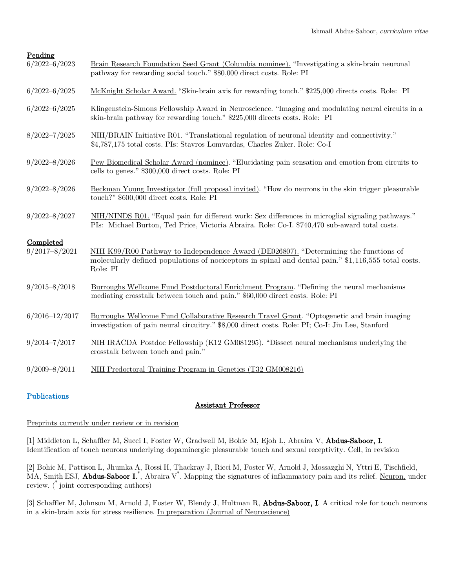### Pending

| $6/2022 - 6/2023$              | Brain Research Foundation Seed Grant (Columbia nominee). "Investigating a skin-brain neuronal<br>pathway for rewarding social touch." \$80,000 direct costs. Role: PI                                  |
|--------------------------------|--------------------------------------------------------------------------------------------------------------------------------------------------------------------------------------------------------|
| $6/2022 - 6/2025$              | McKnight Scholar Award. "Skin-brain axis for rewarding touch." \$225,000 directs costs. Role: PI                                                                                                       |
| $6/2022 - 6/2025$              | Klingenstein-Simons Fellowship Award in Neuroscience. "Imaging and modulating neural circuits in a<br>skin-brain pathway for rewarding touch." \$225,000 directs costs. Role: PI                       |
| $8/2022 - 7/2025$              | NIH/BRAIN Initiative R01. "Translational regulation of neuronal identity and connectivity."<br>\$4,787,175 total costs. PIs: Stavros Lomvardas, Charles Zuker. Role: Co-I                              |
| $9/2022 - 8/2026$              | Pew Biomedical Scholar Award (nominee). "Elucidating pain sensation and emotion from circuits to<br>cells to genes." \$300,000 direct costs. Role: PI                                                  |
| $9/2022 - 8/2026$              | Beckman Young Investigator (full proposal invited). "How do neurons in the skin trigger pleasurable<br>touch?" \$600,000 direct costs. Role: PI                                                        |
| $9/2022 - 8/2027$              | NIH/NINDS R01. "Equal pain for different work: Sex differences in microglial signaling pathways."<br>PIs: Michael Burton, Ted Price, Victoria Abraira. Role: Co-I. \$740,470 sub-award total costs.    |
| Completed<br>$9/2017 - 8/2021$ | NIH K99/R00 Pathway to Independence Award (DE026807). "Determining the functions of<br>molecularly defined populations of nociceptors in spinal and dental pain." \$1,116,555 total costs.<br>Role: PI |
| $9/2015 - 8/2018$              | Burroughs Wellcome Fund Postdoctoral Enrichment Program. "Defining the neural mechanisms<br>mediating crosstalk between touch and pain." $60,000$ direct costs. Role: PI                               |
| $6/2016 - 12/2017$             | Burroughs Wellcome Fund Collaborative Research Travel Grant. "Optogenetic and brain imaging<br>investigation of pain neural circuitry." \$8,000 direct costs. Role: PI; Co-I: Jin Lee, Stanford        |
| $9/2014 - 7/2017$              | NIH IRACDA Postdoc Fellowship (K12 GM081295). "Dissect neural mechanisms underlying the<br>crosstalk between touch and pain."                                                                          |
| $9/2009 - 8/2011$              | NIH Predoctoral Training Program in Genetics (T32 GM008216)                                                                                                                                            |

### Publications

### Assistant Professor

### Preprints currently under review or in revision

[1] Middleton L, Schaffler M, Succi I, Foster W, Gradwell M, Bohic M, Ejoh L, Abraira V, Abdus-Saboor, I. Identification of touch neurons underlying dopaminergic pleasurable touch and sexual receptivity. Cell, in revision

[2] Bohic M, Pattison L, Jhumka A, Rossi H, Thackray J, Ricci M, Foster W, Arnold J, Mossazghi N, Yttri E, Tischfield, MA, Smith ESJ, **Abdus-Saboor I.**\*, Abraira V<sup>\*</sup>. Mapping the signatures of inflammatory pain and its relief. <u>Neuron</u>, under review. ( \* joint corresponding authors)

[3] Schaffler M, Johnson M, Arnold J, Foster W, Blendy J, Hultman R, **Abdus-Saboor, I**. A critical role for touch neurons in a skin-brain axis for stress resilience. In preparation (Journal of Neuroscience)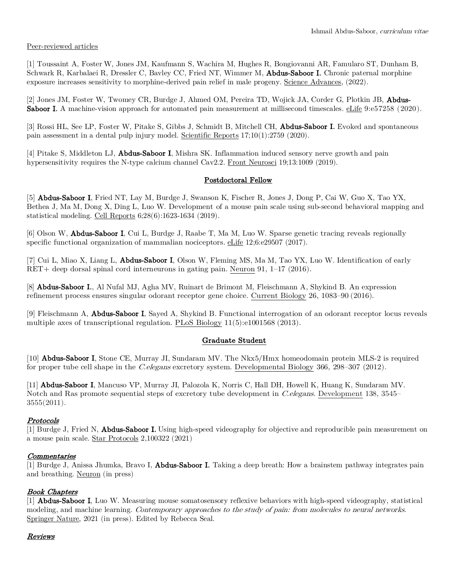### Peer-reviewed articles

[1] Toussaint A, Foster W, Jones JM, Kaufmann S, Wachira M, Hughes R, Bongiovanni AR, Famularo ST, Dunham B, Schwark R, Karbalaei R, Dressler C, Bavley CC, Fried NT, Wimmer M, Abdus-Saboor I. Chronic paternal morphine exposure increases sensitivity to morphine-derived pain relief in male progeny. Science Advances, (2022).

[2] Jones JM, Foster W, Twomey CR, Burdge J, Ahmed OM, Pereira TD, Wojick JA, Corder G, Plotkin JB, Abdus-Saboor I. A machine-vision approach for automated pain measurement at millisecond timescales. eLife 9:e57258 (2020).

[3] Rossi HL, See LP, Foster W, Pitake S, Gibbs J, Schmidt B, Mitchell CH, **Abdus-Saboor I.** Evoked and spontaneous pain assessment in a dental pulp injury model. Scientific Reports 17;10(1):2759 (2020).

[4] Pitake S, Middleton LJ, **Abdus-Saboor I**, Mishra SK. Inflammation induced sensory nerve growth and pain hypersensitivity requires the N-type calcium channel Cav2.2. Front Neurosci 19;13:1009 (2019).

### Postdoctoral Fellow

[5] Abdus-Saboor I, Fried NT, Lay M, Burdge J, Swanson K, Fischer R, Jones J, Dong P, Cai W, Guo X, Tao YX, Bethea J, Ma M, Dong X, Ding L, Luo W. Development of a mouse pain scale using sub-second behavioral mapping and statistical modeling. Cell Reports 6;28(6):1623-1634 (2019).

[6] Olson W, Abdus-Saboor I, Cui L, Burdge J, Raabe T, Ma M, Luo W. Sparse genetic tracing reveals regionally specific functional organization of mammalian nociceptors. eLife 12;6:e29507 (2017).

[7] Cui L, Miao X, Liang L, Abdus-Saboor I, Olson W, Fleming MS, Ma M, Tao YX, Luo W. Identification of early RET+ deep dorsal spinal cord interneurons in gating pain. Neuron 91, 1–17 (2016).

[8] Abdus-Saboor I., Al Nufal MJ, Agha MV, Ruinart de Brimont M, Fleischmann A, Shykind B. An expression refinement process ensures singular odorant receptor gene choice. Current Biology 26, 1083–90 (2016).

[9] Fleischmann A, Abdus-Saboor I, Sayed A, Shykind B. Functional interrogation of an odorant receptor locus reveals multiple axes of transcriptional regulation. PLoS Biology 11(5):e1001568 (2013).

### Graduate Student

[10] Abdus-Saboor I, Stone CE, Murray JI, Sundaram MV. The Nkx5/Hmx homeodomain protein MLS-2 is required for proper tube cell shape in the *C.elegans* excretory system. Developmental Biology 366, 298–307 (2012).

[11] Abdus-Saboor I, Mancuso VP, Murray JI, Palozola K, Norris C, Hall DH, Howell K, Huang K, Sundaram MV. Notch and Ras promote sequential steps of excretory tube development in C. elegans. Development 138, 3545– 3555(2011).

### Protocols

[1] Burdge J, Fried N, Abdus-Saboor I. Using high-speed videography for objective and reproducible pain measurement on a mouse pain scale. Star Protocols 2,100322 (2021)

### Commentaries

[1] Burdge J, Anissa Jhumka, Bravo I, Abdus-Saboor I. Taking a deep breath: How a brainstem pathway integrates pain and breathing. Neuron (in press)

### Book Chapters

[1] Abdus-Saboor I, Luo W. Measuring mouse somatosensory reflexive behaviors with high-speed videography, statistical modeling, and machine learning. Contemporary approaches to the study of pain: from molecules to neural networks. Springer Nature, 2021 (in press). Edited by Rebecca Seal.

### Reviews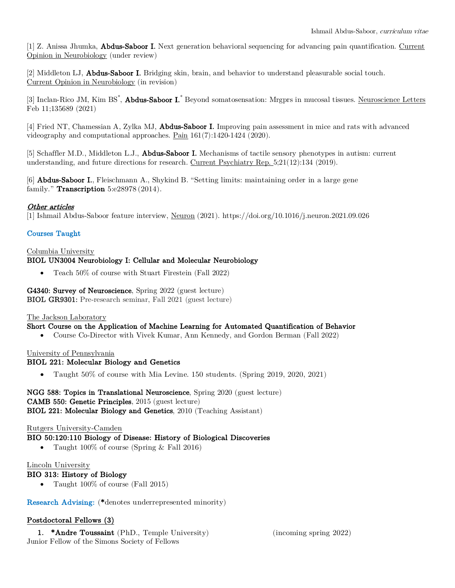[1] Z. Anissa Jhumka, Abdus-Saboor I. Next generation behavioral sequencing for advancing pain quantification. Current Opinion in Neurobiology (under review)

[2] Middleton LJ, Abdus-Saboor I. Bridging skin, brain, and behavior to understand pleasurable social touch. Current Opinion in Neurobiology (in revision)

[3] Inclan-Rico JM, Kim BS<sup>\*</sup>, Abdus-Saboor I.<sup>\*</sup> Beyond somatosensation: Mrgprs in mucosal tissues. Neuroscience Letters Feb 11;135689 (2021)

[4] Fried NT, Chamessian A, Zylka MJ, Abdus-Saboor I. Improving pain assessment in mice and rats with advanced videography and computational approaches. Pain 161(7):1420-1424 (2020).

[5] Schaffler M.D., Middleton L.J., **Abdus-Saboor I.** Mechanisms of tactile sensory phenotypes in autism: current understanding, and future directions for research. Current Psychiatry Rep. 5;21(12):134 (2019).

[6] Abdus-Saboor I., Fleischmann A., Shykind B. "Setting limits: maintaining order in a large gene family." **Transcription**  $5:28978(2014)$ .

### Other articles

[1] Ishmail Abdus-Saboor feature interview, Neuron (2021). https://doi.org/10.1016/j.neuron.2021.09.026

### Courses Taught

### Columbia University

### BIOL UN3004 Neurobiology I: Cellular and Molecular Neurobiology

• Teach  $50\%$  of course with Stuart Firestein (Fall 2022)

G4340: Survey of Neuroscience, Spring 2022 (guest lecture) BIOL GR9301: Pre-research seminar, Fall 2021 (guest lecture)

### The Jackson Laboratory

### Short Course on the Application of Machine Learning for Automated Quantification of Behavior

• Course Co-Director with Vivek Kumar, Ann Kennedy, and Gordon Berman (Fall 2022)

### University of Pennsylvania

### BIOL 221: Molecular Biology and Genetics

• Taught 50% of course with Mia Levine. 150 students. (Spring 2019, 2020, 2021)

NGG 588: Topics in Translational Neuroscience, Spring 2020 (guest lecture) CAMB 550: Genetic Principles, 2015 (guest lecture) BIOL 221: Molecular Biology and Genetics, 2010 (Teaching Assistant)

### Rutgers University-Camden

### BIO 50:120:110 Biology of Disease: History of Biological Discoveries

• Taught  $100\%$  of course (Spring & Fall 2016)

### Lincoln University

### BIO 313: History of Biology

• Taught 100\% of course (Fall 2015)

Research Advising: (\*denotes underrepresented minority)

# Postdoctoral Fellows (3)

1. \*Andre Toussaint (PhD., Temple University) (incoming spring 2022) Junior Fellow of the Simons Society of Fellows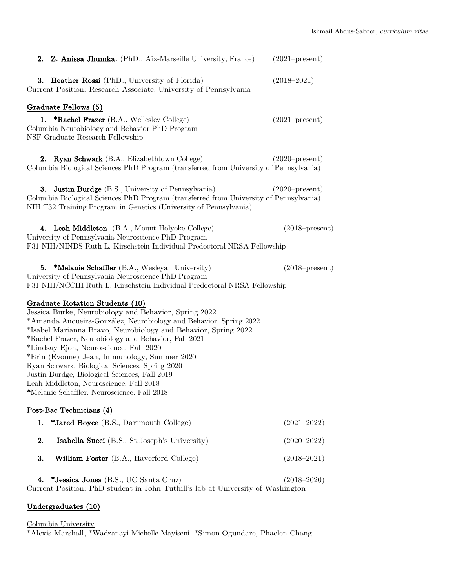| 2. Z. Anissa Jhumka. (PhD., Aix-Marseille University, France)                                                                                                                                                                                                                                                                                                                                                                                                                                                                                                                  | (2021–present)  |
|--------------------------------------------------------------------------------------------------------------------------------------------------------------------------------------------------------------------------------------------------------------------------------------------------------------------------------------------------------------------------------------------------------------------------------------------------------------------------------------------------------------------------------------------------------------------------------|-----------------|
| <b>3. Heather Rossi</b> (PhD., University of Florida)<br>Current Position: Research Associate, University of Pennsylvania                                                                                                                                                                                                                                                                                                                                                                                                                                                      | $(2018 - 2021)$ |
| Graduate Fellows (5)                                                                                                                                                                                                                                                                                                                                                                                                                                                                                                                                                           |                 |
| 1. *Rachel Frazer (B.A., Wellesley College)<br>Columbia Neurobiology and Behavior PhD Program<br>NSF Graduate Research Fellowship                                                                                                                                                                                                                                                                                                                                                                                                                                              | (2021–present)  |
| Ryan Schwark (B.A., Elizabethtown College)<br>2.<br>Columbia Biological Sciences PhD Program (transferred from University of Pennsylvania)                                                                                                                                                                                                                                                                                                                                                                                                                                     | (2020–present)  |
| <b>Justin Burdge</b> (B.S., University of Pennsylvania)<br>3.<br>Columbia Biological Sciences PhD Program (transferred from University of Pennsylvania)<br>NIH T32 Training Program in Genetics (University of Pennsylvania)                                                                                                                                                                                                                                                                                                                                                   | (2020–present)  |
| 4. Leah Middleton (B.A., Mount Holyoke College)<br>University of Pennsylvania Neuroscience PhD Program<br>F31 NIH/NINDS Ruth L. Kirschstein Individual Predoctoral NRSA Fellowship                                                                                                                                                                                                                                                                                                                                                                                             | (2018–present)  |
| *Melanie Schaffler (B.A., Wesleyan University)<br>5.<br>University of Pennsylvania Neuroscience PhD Program<br>F31 NIH/NCCIH Ruth L. Kirschstein Individual Predoctoral NRSA Fellowship                                                                                                                                                                                                                                                                                                                                                                                        | (2018–present)  |
| Graduate Rotation Students (10)<br>Jessica Burke, Neurobiology and Behavior, Spring 2022<br>*Amanda Anqueira-González, Neurobiology and Behavior, Spring 2022<br>*Isabel Marianna Bravo, Neurobiology and Behavior, Spring 2022<br>*Rachel Frazer, Neurobiology and Behavior, Fall 2021<br>*Lindsay Ejoh, Neuroscience, Fall 2020<br>*Erin (Evonne) Jean, Immunology, Summer 2020<br>Ryan Schwark, Biological Sciences, Spring 2020<br>Justin Burdge, Biological Sciences, Fall 2019<br>Leah Middleton, Neuroscience, Fall 2018<br>*Melanie Schaffler, Neuroscience, Fall 2018 |                 |
| Post-Bac Technicians (4)                                                                                                                                                                                                                                                                                                                                                                                                                                                                                                                                                       |                 |
| *Jared Boyce (B.S., Dartmouth College)<br>1.                                                                                                                                                                                                                                                                                                                                                                                                                                                                                                                                   | $(2021 - 2022)$ |
| 2.<br>Isabella Succi (B.S., St.Joseph's University)                                                                                                                                                                                                                                                                                                                                                                                                                                                                                                                            | $(2020 - 2022)$ |
| 3.<br>William Foster (B.A., Haverford College)                                                                                                                                                                                                                                                                                                                                                                                                                                                                                                                                 | $(2018 - 2021)$ |
| *Jessica Jones (B.S., UC Santa Cruz)<br>4.<br>Current Position: PhD student in John Tuthill's lab at University of Washington                                                                                                                                                                                                                                                                                                                                                                                                                                                  | $(2018 - 2020)$ |
| Undergraduates (10)                                                                                                                                                                                                                                                                                                                                                                                                                                                                                                                                                            |                 |

Columbia University \*Alexis Marshall, \*Wadzanayi Michelle Mayiseni, \*Simon Ogundare, Phaelen Chang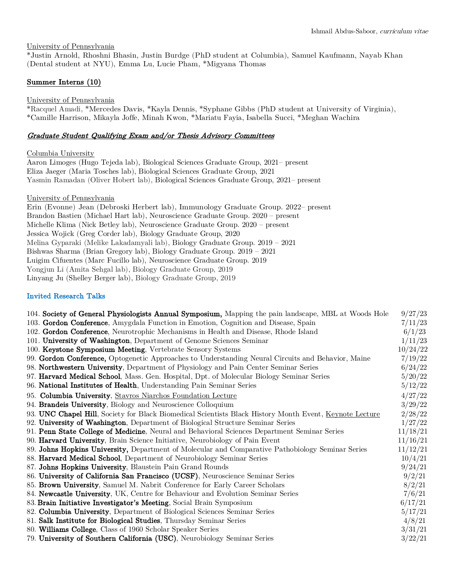### University of Pennsylvania

\*Justin Arnold, Rhoshni Bhasin, Justin Burdge (PhD student at Columbia), Samuel Kaufmann, Nayab Khan (Dental student at NYU), Emma Lu, Lucie Pham, \*Migyana Thomas

# Summer Interns (10)

#### University of Pennsylvania

\*Racquel Amadi, \*Mercedes Davis, \*Kayla Dennis, \*Syphane Gibbs (PhD student at University of Virginia), \*Camille Harrison, Mikayla Joffe, Minah Kwon, \*Mariatu Fayia, Isabella Succi, \*Meghan Wachira

### Graduate Student Qualifying Exam and/or Thesis Advisory Committees

#### Columbia University

Aaron Limoges (Hugo Tejeda lab), Biological Sciences Graduate Group, 2021– present Eliza Jaeger (Maria Tosches lab), Biological Sciences Graduate Group, 2021 Yasmin Ramadan (Oliver Hobert lab), Biological Sciences Graduate Group, 2021– present

### University of Pennsylvania

Erin (Evonne) Jean (Debroski Herbert lab), Immunology Graduate Group. 2022– present Brandon Bastien (Michael Hart lab), Neuroscience Graduate Group. 2020 – present Michelle Klima (Nick Betley lab), Neuroscience Graduate Group. 2020 – present Jessica Wojick (Greg Corder lab), Biology Graduate Group, 2020 Melina Gyparaki (Melike Lakadamyali lab), Biology Graduate Group. 2019 – 2021 Bishwas Sharma (Brian Gregory lab), Biology Graduate Group. 2019 – 2021 Luigim Cifuentes (Marc Fucillo lab), Neuroscience Graduate Group. 2019 Yongjun Li (Amita Sehgal lab), Biology Graduate Group, 2019 Linyang Ju (Shelley Berger lab), Biology Graduate Group, 2019

### Invited Research Talks

| 104. Society of General Physiologists Annual Symposium, Mapping the pain landscape, MBL at Woods Hole   | 9/27/23  |
|---------------------------------------------------------------------------------------------------------|----------|
| 103. Gordon Conference, Amygdala Function in Emotion, Cognition and Disease, Spain                      | 7/11/23  |
| 102. Gordon Conference, Neurotrophic Mechanisms in Health and Disease, Rhode Island                     | 6/1/23   |
| 101. University of Washington, Department of Genome Sciences Seminar                                    | 1/11/23  |
| 100. Keystone Symposium Meeting, Vertebrate Sensory Systems                                             | 10/24/22 |
| 99. Gordon Conference, Optogenetic Approaches to Understanding Neural Circuits and Behavior, Maine      | 7/19/22  |
| 98. Northwestern University, Department of Physiology and Pain Center Seminar Series                    | 6/24/22  |
| 97. Harvard Medical School, Mass. Gen. Hospital, Dpt. of Molecular Biology Seminar Series               | 5/20/22  |
| 96. National Institutes of Health, Understanding Pain Seminar Series                                    | 5/12/22  |
| 95. Columbia University, Stavros Niarchos Foundation Lecture                                            | 4/27/22  |
| 94. Brandeis University, Biology and Neuroscience Colloquium                                            | 3/29/22  |
| 93. UNC Chapel Hill, Society for Black Biomedical Scientists Black History Month Event, Keynote Lecture | 2/28/22  |
| 92. University of Washington, Department of Biological Structure Seminar Series                         | 1/27/22  |
| 91. Penn State College of Medicine, Neural and Behavioral Sciences Department Seminar Series            | 11/18/21 |
| 90. Harvard University, Brain Science Initiative, Neurobiology of Pain Event                            | 11/16/21 |
| 89. Johns Hopkins University, Department of Molecular and Comparative Pathobiology Seminar Series       | 11/12/21 |
| 88. Harvard Medical School, Department of Neurobiology Seminar Series                                   | 10/4/21  |
| 87. Johns Hopkins University, Blaustein Pain Grand Rounds                                               | 9/24/21  |
| 86. University of California San Francisco (UCSF), Neuroscience Seminar Series                          | 9/2/21   |
| 85. Brown University, Samuel M. Nabrit Conference for Early Career Scholars                             | 8/2/21   |
| 84. Newcastle University, UK, Centre for Behaviour and Evolution Seminar Series                         | 7/6/21   |
| 83. Brain Initiative Investigator's Meeting, Social Brain Symposium                                     | 6/17/21  |
| 82. Columbia University, Department of Biological Sciences Seminar Series                               | 5/17/21  |
| 81. Salk Institute for Biological Studies, Thursday Seminar Series                                      | 4/8/21   |
| 80. Williams College, Class of 1960 Scholar Speaker Series                                              | 3/31/21  |
| 79. University of Southern California (USC), Neurobiology Seminar Series                                | 3/22/21  |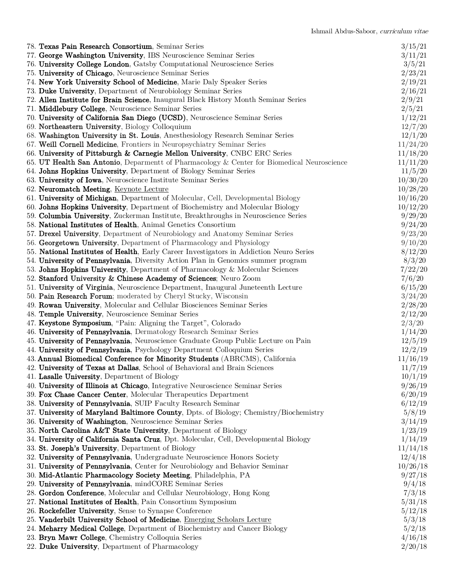| 78. Texas Pain Research Consortium, Seminar Series                                                                                                     | 3/15/21           |
|--------------------------------------------------------------------------------------------------------------------------------------------------------|-------------------|
| 77. George Washington University, IBS Neuroscience Seminar Series                                                                                      | 3/11/21           |
| 76. University College London, Gatsby Computational Neuroscience Series                                                                                | 3/5/21            |
| 75. University of Chicago, Neuroscience Seminar Series                                                                                                 | 2/23/21           |
| 74. New York University School of Medicine, Marie Daly Speaker Series                                                                                  | 2/19/21           |
| 73. Duke University, Department of Neurobiology Seminar Series                                                                                         | 2/16/21           |
| 72. Allen Institute for Brain Science, Inaugural Black History Month Seminar Series                                                                    | 2/9/21            |
| 71. Middlebury College, Neuroscience Seminar Series                                                                                                    | 2/5/21            |
| 70. University of California San Diego (UCSD), Neuroscience Seminar Series                                                                             | 1/12/21           |
| 69. Northeastern University, Biology Colloquium                                                                                                        | 12/7/20           |
| 68. Washington University in St. Louis, Anesthesiology Research Seminar Series                                                                         | 12/1/20           |
| 67. Weill Cornell Medicine, Frontiers in Neuropsychiatry Seminar Series                                                                                | 11/24/20          |
| 66. University of Pittsburgh & Carnegie Mellon University, CNBC ERC Series                                                                             | 11/18/20          |
| 65. UT Health San Antonio, Deparment of Pharmacology & Center for Biomedical Neuroscience                                                              | 11/11/20          |
| 64. Johns Hopkins University, Department of Biology Seminar Series                                                                                     | 11/5/20           |
| 63. University of Iowa, Neuroscience Institute Seminar Series                                                                                          | 10/30/20          |
| 62. Neuromatch Meeting, Keynote Lecture                                                                                                                | 10/28/20          |
| 61. University of Michigan, Department of Molecular, Cell, Developmental Biology                                                                       | 10/16/20          |
| 60. Johns Hopkins University, Department of Biochemistry and Molecular Biology                                                                         | 10/12/20          |
| 59. Columbia University, Zuckerman Institute, Breakthroughs in Neuroscience Series                                                                     | 9/29/20           |
| 58. National Institutes of Health, Animal Genetics Consortium                                                                                          | 9/24/20           |
| 57. Drexel University, Department of Neurobiology and Anatomy Seminar Series                                                                           | 9/23/20           |
| 56. Georgetown University, Department of Pharmacology and Physiology                                                                                   | 9/10/20           |
| 55. National Institutes of Health, Early Career Investigators in Addiction Neuro Series                                                                | 8/12/20           |
| 54. University of Pennsylvania, Diversity Action Plan in Genomics summer program                                                                       | 8/3/20            |
| 53. Johns Hopkins University, Department of Pharmacology & Molecular Sciences                                                                          | 7/22/20           |
| 52. Stanford University & Chinese Academy of Sciences; Neuro Zoom                                                                                      | 7/6/20            |
| 51. University of Virginia, Neuroscience Department, Inaugural Juneteenth Lecture                                                                      | 6/15/20           |
| 50. Pain Research Forum; moderated by Cheryl Stucky, Wisconsin                                                                                         | 3/24/20           |
| 49. Rowan University, Molecular and Cellular Biosciences Seminar Series                                                                                | 2/28/20           |
| 48. Temple University, Neuroscience Seminar Series                                                                                                     | 2/12/20           |
| 47. Keystone Symposium, "Pain: Aligning the Target", Colorado                                                                                          | 2/3/20            |
| 46. University of Pennsylvania, Dermatology Research Seminar Series                                                                                    | 1/14/20           |
| 45. University of Pennsylvania, Neuroscience Graduate Group Public Lecture on Pain                                                                     | 12/5/19           |
| 44. University of Pennsylvania, Psychology Department Colloquium Series                                                                                | 12/2/19           |
| 43. Annual Biomedical Conference for Minority Students (ABRCMS), California                                                                            | 11/16/19          |
| 42. University of Texas at Dallas, School of Behavioral and Brain Sciences                                                                             | 11/7/19           |
| 41. Lasalle University, Department of Biology                                                                                                          | 10/1/19           |
| 40. University of Illinois at Chicago, Integrative Neuroscience Seminar Series                                                                         | 9/26/19           |
| 39. Fox Chase Cancer Center, Molecular Therapeutics Department                                                                                         | 6/20/19           |
|                                                                                                                                                        |                   |
| 38. University of Pennsylvania, SUIP Faculty Research Seminar<br>37. University of Maryland Baltimore County, Dpts. of Biology; Chemistry/Biochemistry | 6/12/19<br>5/8/19 |
| 36. University of Washington, Neuroscience Seminar Series                                                                                              |                   |
|                                                                                                                                                        | 3/14/19           |
| 35. North Carolina A&T State University, Department of Biology                                                                                         | 1/23/19           |
| 34. University of California Santa Cruz, Dpt. Molecular, Cell, Developmental Biology                                                                   | 1/14/19           |
| 33. St. Joseph's University, Department of Biology                                                                                                     | 11/14/18          |
| 32. University of Pennsylvania, Undergraduate Neuroscience Honors Society                                                                              | 12/4/18           |
| 31. University of Pennsylvania, Center for Neurobiology and Behavior Seminar                                                                           | 10/26/18          |
| 30. Mid-Atlantic Pharmacology Society Meeting, Philadelphia, PA                                                                                        | 9/27/18           |
| 29. University of Pennsylvania, mindCORE Seminar Series                                                                                                | 9/4/18            |
| 28. Gordon Conference, Molecular and Cellular Neurobiology, Hong Kong                                                                                  | 7/3/18            |
| 27. National Institutes of Health, Pain Consortium Symposium                                                                                           | 5/31/18           |
| 26. Rockefeller University, Sense to Synapse Conference                                                                                                | 5/12/18           |
| 25. Vanderbilt University School of Medicine, Emerging Scholars Lecture                                                                                | 5/3/18            |
| 24. Meharry Medical College, Department of Biochemistry and Cancer Biology                                                                             | 5/2/18            |
| 23. Bryn Mawr College, Chemistry Colloquia Series                                                                                                      | 4/16/18           |
| 22. Duke University, Department of Pharmacology                                                                                                        | 2/20/18           |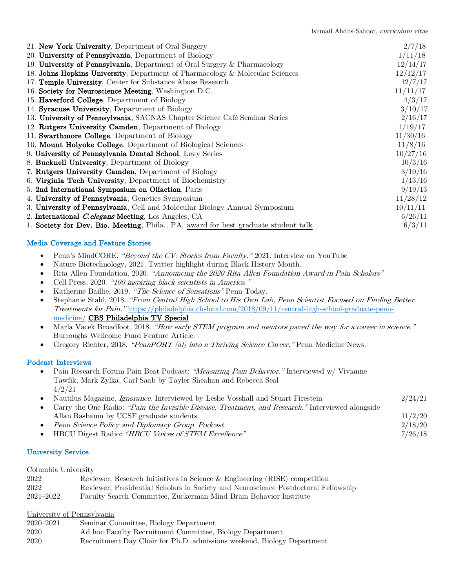| 21. New York University, Department of Oral Surgery                                | 2/7/18   |
|------------------------------------------------------------------------------------|----------|
| 20. University of Pennsylvania, Department of Biology                              | 1/11/18  |
| 19. University of Pennsylvania, Department of Oral Surgery & Pharmacology          | 12/14/17 |
| 18. Johns Hopkins University, Department of Pharmacology & Molecular Sciences      | 12/12/17 |
| 17. Temple University, Center for Substance Abuse Research                         | 12/7/17  |
| 16. Society for Neuroscience Meeting, Washington D.C.                              | 11/11/17 |
| 15. <b>Haverford College</b> , Department of Biology                               | 4/3/17   |
| 14. Syracuse University, Department of Biology                                     | 3/10/17  |
| 13. University of Pennsylvania, SACNAS Chapter Science Café Seminar Series         | 2/16/17  |
| 12. Rutgers University Camden, Department of Biology                               | 1/19/17  |
| 11. Swarthmore College, Department of Biology                                      | 11/30/16 |
| 10. Mount Holyoke College, Department of Biological Sciences                       | 11/8/16  |
| 9. University of Pennsylvania Dental School, Levy Series                           | 10/27/16 |
| 8. Bucknell University, Department of Biology                                      | 10/3/16  |
| 7. Rutgers University Camden, Department of Biology                                | 3/10/16  |
| 6. Virginia Tech University, Department of Biochemistry                            | 1/13/16  |
| 5. 2nd International Symposium on Olfaction, Paris                                 | 9/19/13  |
| 4. University of Pennsylvania, Genetics Symposium                                  | 11/28/12 |
| 3. University of Pennsylvania, Cell and Molecular Biology Annual Symposium         | 10/11/11 |
| 2. International <i>C.elegans</i> Meeting, Los Angeles, CA                         | 6/26/11  |
| 1. Society for Dev. Bio. Meeting, Phila., PA, award for best graduate student talk | 6/3/11   |

## Media Coverage and Feature Stories

- Penn's MindCORE, "Beyond the CV: Stories from Faculty." 2021. Interview on YouTube
- Nature Biotechnology, 2021. Twitter highlight during Black History Month.
- Rita Allen Foundation, 2020. "Announcing the 2020 Rita Allen Foundation Award in Pain Scholars"
- Cell Press, 2020. "100 inspiring black scientists in America."
- Katherine Baillie, 2019. "The Science of Sensations" Penn Today.
- Stephanie Stahl, 2018. "From Central High School to His Own Lab, Penn Scientist Focused on Finding Better Treatments for Pain." https://philadelphia.cbslocal.com/2018/09/11/central-high-school-graduate-pennmedicine/ CBS Philadelphia TV Special
- Marla Vacek Broadfoot, 2018. "How early STEM program and mentors paved the way for a career in science." Burroughs Wellcome Fund Feature Article.
- Gregory Richter, 2018. "PennPORT (al) into a Thriving Science Career." Penn Medicine News.

### Podcast Interviews

• Pain Research Forum Pain Beat Podcast: "Measuring Pain Behavior." Interviewed w/ Vivianne Tawfik, Mark Zylka, Carl Saab by Tayler Sheahan and Rebecca Seal 4/2/21

| Nautilus Magazine, <i>Ignorance</i> . Interviewed by Leslie Vosshall and Stuart Firestein         | 2/24/21 |
|---------------------------------------------------------------------------------------------------|---------|
| Carry the One Radio: "Pain the Invisible Disease, Treatment, and Research." Interviewed alongside |         |
| Allan Basbaum by UCSF graduate students                                                           | 11/2/20 |
| Penn Science Policy and Diplomacy Group Podcast                                                   | 2/18/20 |
| HBCU Digest Radio: "HBCU Voices of STEM Excellence"                                               | 7/26/18 |

### University Service

### Columbia University

| 2022      | Reviewer, Research Initiatives in Science & Engineering $(RISE)$ competition        |
|-----------|-------------------------------------------------------------------------------------|
| 2022      | Reviewer, Presidential Scholars in Society and Neuroscience Postdoctoral Fellowship |
| 2021–2022 | Faculty Search Committee, Zuckerman Mind Brain Behavior Institute                   |

University of Pennsylvania

| $2020 - 2021$ | Seminar Committee, Biology Department                                  |
|---------------|------------------------------------------------------------------------|
| 2020          | Ad hoc Faculty Recruitment Committee, Biology Department               |
| 2020          | Recruitment Day Chair for Ph.D. admissions weekend, Biology Department |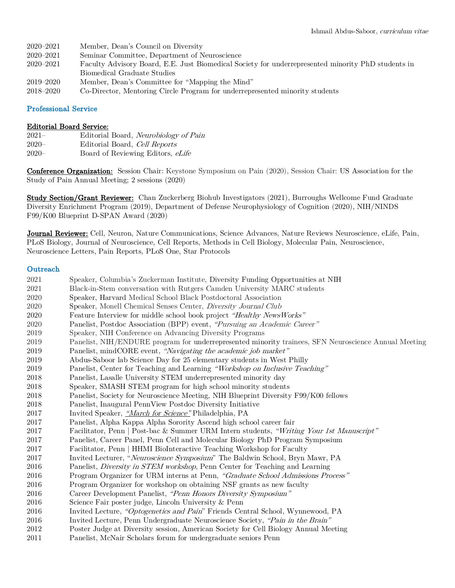- 2020–2021 Member, Dean's Council on Diversity
- 2020–2021 Seminar Committee, Department of Neuroscience
- 2020–2021 Faculty Advisory Board, E.E. Just Biomedical Society for underrepresented minority PhD students in Biomedical Graduate Studies
- 2019–2020 Member, Dean's Committee for "Mapping the Mind"
- 2018–2020 Co-Director, Mentoring Circle Program for underrepresented minority students

### Professional Service

### Editorial Board Service:

| $2021 -$ | Editorial Board, <i>Neurobiology of Pain</i> |
|----------|----------------------------------------------|
| $2020 -$ | Editorial Board, Cell Reports                |
| $2020 -$ | Board of Reviewing Editors, eLife            |

Conference Organization: Session Chair: Keystone Symposium on Pain (2020), Session Chair: US Association for the Study of Pain Annual Meeting; 2 sessions (2020)

Study Section/Grant Reviewer: Chan Zuckerberg Biohub Investigators (2021), Burroughs Wellcome Fund Graduate Diversity Enrichment Program (2019), Department of Defense Neurophysiology of Cognition (2020), NIH/NINDS F99/K00 Blueprint D-SPAN Award (2020)

Journal Reviewer: Cell, Neuron, Nature Communications, Science Advances, Nature Reviews Neuroscience, eLife, Pain, PLoS Biology, Journal of Neuroscience, Cell Reports, Methods in Cell Biology, Molecular Pain, Neuroscience, Neuroscience Letters, Pain Reports, PLoS One, Star Protocols

### **Outreach**

| 2021     | Speaker, Columbia's Zuckerman Institute, Diversity Funding Opportunities at NIH                      |
|----------|------------------------------------------------------------------------------------------------------|
| 2021     | Black-in-Stem conversation with Rutgers Camden University MARC students                              |
| 2020     | Speaker, Harvard Medical School Black Postdoctoral Association                                       |
| 2020     | Speaker, Monell Chemical Senses Center, Diversity Journal Club                                       |
| 2020     | Feature Interview for middle school book project "Healthy NewsWorks"                                 |
| $2020\,$ | Panelist, Postdoc Association (BPP) event, "Pursuing an Academic Career"                             |
| 2019     | Speaker, NIH Conference on Advancing Diversity Programs                                              |
| 2019     | Panelist, NIH/ENDURE program for underrepresented minority trainees, SFN Neuroscience Annual Meeting |
| 2019     | Panelist, mindCORE event, "Navigating the academic job market"                                       |
| 2019     | Abdus-Saboor lab Science Day for 25 elementary students in West Philly                               |
| 2019     | Panelist, Center for Teaching and Learning "Workshop on Inclusive Teaching"                          |
| 2018     | Panelist, Lasalle University STEM underrepresented minority day                                      |
| 2018     | Speaker, SMASH STEM program for high school minority students                                        |
| 2018     | Panelist, Society for Neuroscience Meeting, NIH Blueprint Diversity F99/K00 fellows                  |
| 2018     | Panelist, Inaugural PennView Postdoc Diversity Initiative                                            |
| 2017     | Invited Speaker, "March for Science" Philadelphia, PA                                                |
| 2017     | Panelist, Alpha Kappa Alpha Sorority Ascend high school career fair                                  |
| 2017     | Facilitator, Penn   Post-bac & Summer URM Intern students, "Writing Your 1st Manuscript"             |
| 2017     | Panelist, Career Panel, Penn Cell and Molecular Biology PhD Program Symposium                        |
| $2017\,$ | Facilitator, Penn   HHMI BioInteractive Teaching Workshop for Faculty                                |
| 2017     | Invited Lecturer, "Neuroscience Symposium" The Baldwin School, Bryn Mawr, PA                         |
| 2016     | Panelist, Diversity in STEM workshop, Penn Center for Teaching and Learning                          |
| 2016     | Program Organizer for URM interns at Penn, "Graduate School Admissions Process"                      |
| $\,2016$ | Program Organizer for workshop on obtaining NSF grants as new faculty                                |
| 2016     | Career Development Panelist, "Penn Honors Diversity Symposium"                                       |
| 2016     | Science Fair poster judge, Lincoln University & Penn                                                 |
| 2016     | Invited Lecture, "Optogenetics and Pain" Friends Central School, Wynnewood, PA                       |
| $\,2016$ | Invited Lecture, Penn Undergraduate Neuroscience Society, "Pain in the Brain"                        |
| 2012     | Poster Judge at Diversity session, American Society for Cell Biology Annual Meeting                  |
| 2011     | Panelist, McNair Scholars forum for undergraduate seniors Penn                                       |